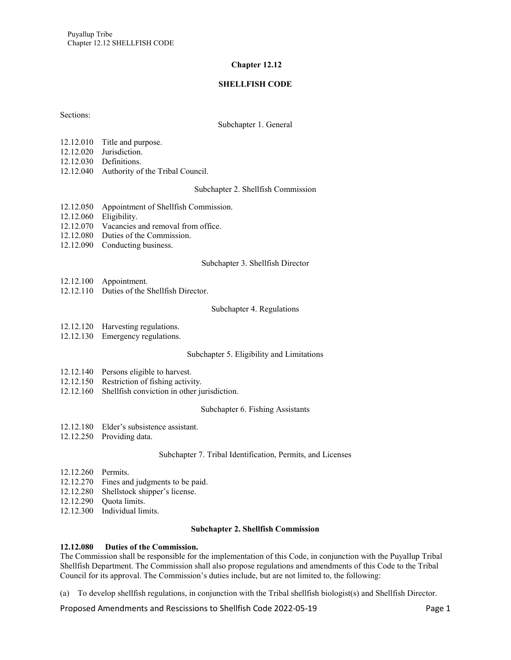# **Chapter 12.12**

# **SHELLFISH CODE**

Sections:

#### Subchapter 1. General

- 12.12.010 Title and purpose.
- 12.12.020 Jurisdiction.
- 12.12.030 Definitions.
- 12.12.040 Authority of the Tribal Council.

#### Subchapter 2. Shellfish Commission

- 12.12.050 Appointment of Shellfish Commission.
- 12.12.060 Eligibility.
- 12.12.070 Vacancies and removal from office.
- 12.12.080 Duties of the Commission.
- 12.12.090 Conducting business.

#### Subchapter 3. Shellfish Director

- 12.12.100 Appointment.
- 12.12.110 Duties of the Shellfish Director.

#### Subchapter 4. Regulations

- 12.12.120 Harvesting regulations.
- 12.12.130 Emergency regulations.

#### Subchapter 5. Eligibility and Limitations

- 12.12.140 Persons eligible to harvest.
- 12.12.150 Restriction of fishing activity.
- 12.12.160 Shellfish conviction in other jurisdiction.

#### Subchapter 6. Fishing Assistants

- 12.12.180 Elder's subsistence assistant.
- 12.12.250 Providing data.

#### Subchapter 7. Tribal Identification, Permits, and Licenses

- 12.12.260 Permits.
- 12.12.270 Fines and judgments to be paid.
- 12.12.280 Shellstock shipper's license.
- 12.12.290 Quota limits.
- 12.12.300 Individual limits.

#### **Subchapter 2. Shellfish Commission**

# **12.12.080 Duties of the Commission.**

The Commission shall be responsible for the implementation of this Code, in conjunction with the Puyallup Tribal Shellfish Department. The Commission shall also propose regulations and amendments of this Code to the Tribal Council for its approval. The Commission's duties include, but are not limited to, the following:

(a) To develop shellfish regulations, in conjunction with the Tribal shellfish biologist(s) and Shellfish Director.

Proposed Amendments and Rescissions to Shellfish Code 2022-05-19 Page 1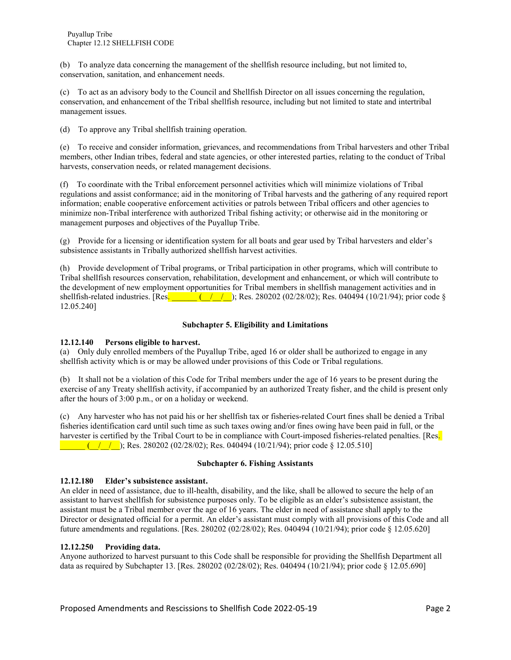(b) To analyze data concerning the management of the shellfish resource including, but not limited to, conservation, sanitation, and enhancement needs.

(c) To act as an advisory body to the Council and Shellfish Director on all issues concerning the regulation, conservation, and enhancement of the Tribal shellfish resource, including but not limited to state and intertribal management issues.

(d) To approve any Tribal shellfish training operation.

(e) To receive and consider information, grievances, and recommendations from Tribal harvesters and other Tribal members, other Indian tribes, federal and state agencies, or other interested parties, relating to the conduct of Tribal harvests, conservation needs, or related management decisions.

(f) To coordinate with the Tribal enforcement personnel activities which will minimize violations of Tribal regulations and assist conformance; aid in the monitoring of Tribal harvests and the gathering of any required report information; enable cooperative enforcement activities or patrols between Tribal officers and other agencies to minimize non-Tribal interference with authorized Tribal fishing activity; or otherwise aid in the monitoring or management purposes and objectives of the Puyallup Tribe.

(g) Provide for a licensing or identification system for all boats and gear used by Tribal harvesters and elder's subsistence assistants in Tribally authorized shellfish harvest activities.

(h) Provide development of Tribal programs, or Tribal participation in other programs, which will contribute to Tribal shellfish resources conservation, rehabilitation, development and enhancement, or which will contribute to the development of new employment opportunities for Tribal members in shellfish management activities and in shellfish-related industries. [Res.  $\frac{(1 \times 1)(1 \times 16)}{1 \times 16}$ ; Res. 280202 (02/28/02); Res. 040494 (10/21/94); prior code § 12.05.240]

# **Subchapter 5. Eligibility and Limitations**

# **12.12.140 Persons eligible to harvest.**

(a) Only duly enrolled members of the Puyallup Tribe, aged 16 or older shall be authorized to engage in any shellfish activity which is or may be allowed under provisions of this Code or Tribal regulations.

(b) It shall not be a violation of this Code for Tribal members under the age of 16 years to be present during the exercise of any Treaty shellfish activity, if accompanied by an authorized Treaty fisher, and the child is present only after the hours of 3:00 p.m., or on a holiday or weekend.

(c) Any harvester who has not paid his or her shellfish tax or fisheries-related Court fines shall be denied a Tribal fisheries identification card until such time as such taxes owing and/or fines owing have been paid in full, or the harvester is certified by the Tribal Court to be in compliance with Court-imposed fisheries-related penalties. [Res.  $\frac{(11.2)(11.2)}{(11.2)(11.2)(11.2)}$ ; Res. 280202 (02/28/02); Res. 040494 (10/21/94); prior code § 12.05.510]

# **Subchapter 6. Fishing Assistants**

# **12.12.180 Elder's subsistence assistant.**

An elder in need of assistance, due to ill-health, disability, and the like, shall be allowed to secure the help of an assistant to harvest shellfish for subsistence purposes only. To be eligible as an elder's subsistence assistant, the assistant must be a Tribal member over the age of 16 years. The elder in need of assistance shall apply to the Director or designated official for a permit. An elder's assistant must comply with all provisions of this Code and all future amendments and regulations. [Res. 280202 (02/28/02); Res. 040494 (10/21/94); prior code § 12.05.620]

# **12.12.250 Providing data.**

Anyone authorized to harvest pursuant to this Code shall be responsible for providing the Shellfish Department all data as required by Subchapter 13. [Res. 280202 (02/28/02); Res. 040494 (10/21/94); prior code § 12.05.690]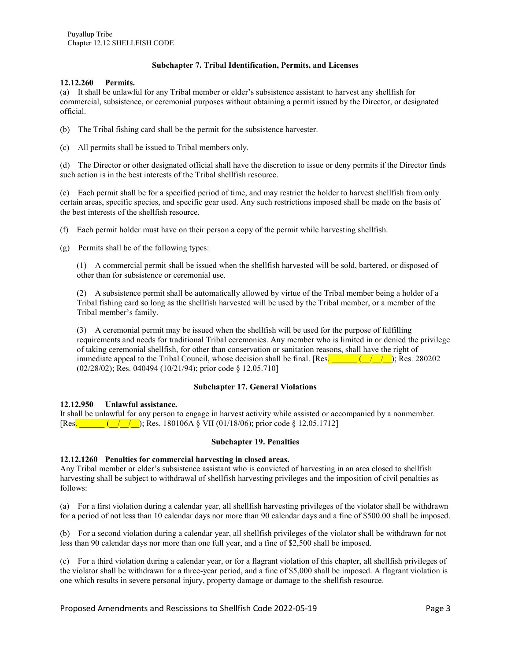# **Subchapter 7. Tribal Identification, Permits, and Licenses**

#### **12.12.260 Permits.**

(a) It shall be unlawful for any Tribal member or elder's subsistence assistant to harvest any shellfish for commercial, subsistence, or ceremonial purposes without obtaining a permit issued by the Director, or designated official.

- (b) The Tribal fishing card shall be the permit for the subsistence harvester.
- (c) All permits shall be issued to Tribal members only.

(d) The Director or other designated official shall have the discretion to issue or deny permits if the Director finds such action is in the best interests of the Tribal shellfish resource.

(e) Each permit shall be for a specified period of time, and may restrict the holder to harvest shellfish from only certain areas, specific species, and specific gear used. Any such restrictions imposed shall be made on the basis of the best interests of the shellfish resource.

- (f) Each permit holder must have on their person a copy of the permit while harvesting shellfish.
- (g) Permits shall be of the following types:

(1) A commercial permit shall be issued when the shellfish harvested will be sold, bartered, or disposed of other than for subsistence or ceremonial use.

(2) A subsistence permit shall be automatically allowed by virtue of the Tribal member being a holder of a Tribal fishing card so long as the shellfish harvested will be used by the Tribal member, or a member of the Tribal member's family.

(3) A ceremonial permit may be issued when the shellfish will be used for the purpose of fulfilling requirements and needs for traditional Tribal ceremonies. Any member who is limited in or denied the privilege of taking ceremonial shellfish, for other than conservation or sanitation reasons, shall have the right of immediate appeal to the Tribal Council, whose decision shall be final. [Res.  $\frac{1}{2}$  ( $\frac{1}{2}$ ); Res. 280202 (02/28/02); Res. 040494 (10/21/94); prior code § 12.05.710]

#### **Subchapter 17. General Violations**

# **12.12.950 Unlawful assistance.**

It shall be unlawful for any person to engage in harvest activity while assisted or accompanied by a nonmember. [Res.  $($  /  $/$  ); Res. 180106A § VII (01/18/06); prior code § 12.05.1712]

#### **Subchapter 19. Penalties**

# **12.12.1260 Penalties for commercial harvesting in closed areas.**

Any Tribal member or elder's subsistence assistant who is convicted of harvesting in an area closed to shellfish harvesting shall be subject to withdrawal of shellfish harvesting privileges and the imposition of civil penalties as follows:

(a) For a first violation during a calendar year, all shellfish harvesting privileges of the violator shall be withdrawn for a period of not less than 10 calendar days nor more than 90 calendar days and a fine of \$500.00 shall be imposed.

(b) For a second violation during a calendar year, all shellfish privileges of the violator shall be withdrawn for not less than 90 calendar days nor more than one full year, and a fine of \$2,500 shall be imposed.

(c) For a third violation during a calendar year, or for a flagrant violation of this chapter, all shellfish privileges of the violator shall be withdrawn for a three-year period, and a fine of \$5,000 shall be imposed. A flagrant violation is one which results in severe personal injury, property damage or damage to the shellfish resource.